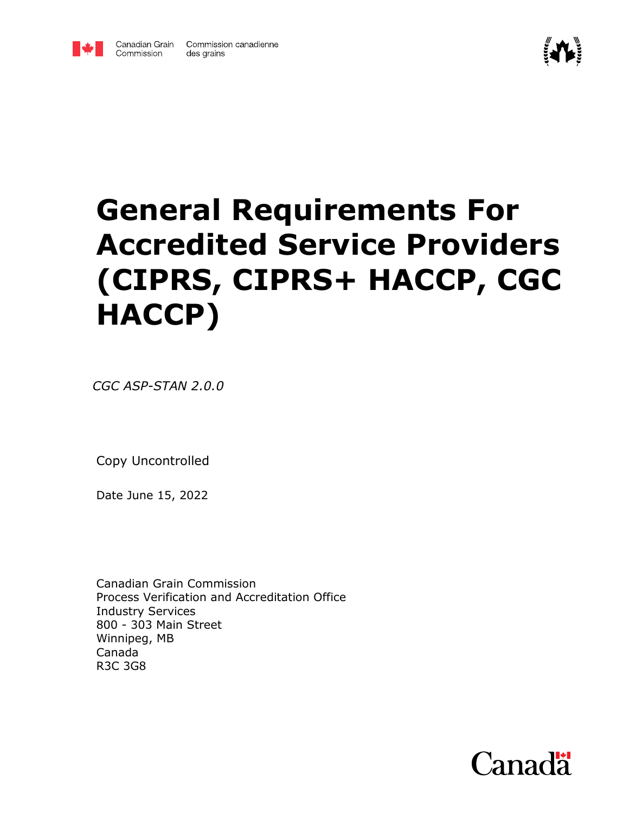



# **General Requirements For Accredited Service Providers (CIPRS, CIPRS+ HACCP, CGC HACCP)**

*CGC ASP-STAN 2.0.0*

Copy Uncontrolled

Date June 15, 2022

Canadian Grain Commission Process Verification and Accreditation Office Industry Services 800 - 303 Main Street Winnipeg, MB Canada R3C 3G8

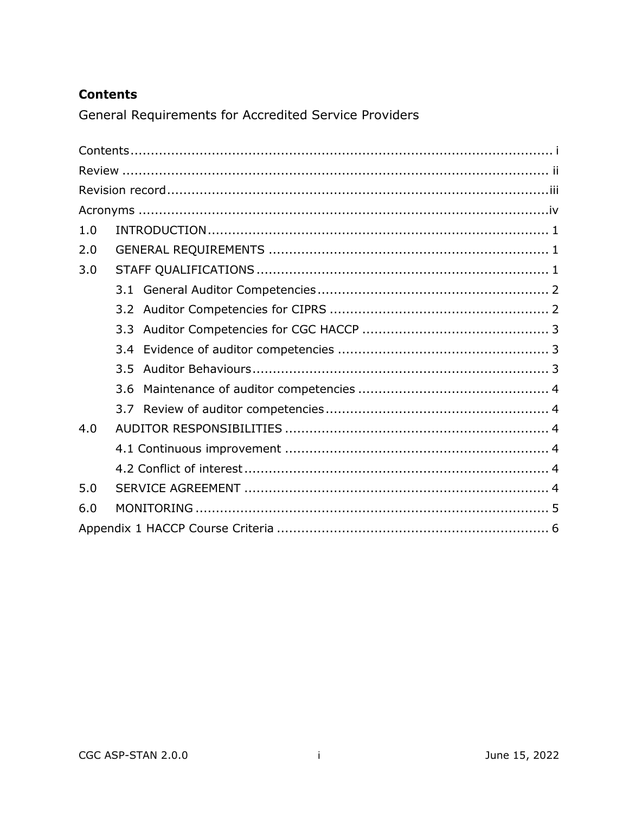## <span id="page-1-0"></span>**Contents**

General Requirements for Accredited Service Providers

| 1.0 |     |  |  |
|-----|-----|--|--|
| 2.0 |     |  |  |
| 3.0 |     |  |  |
|     |     |  |  |
|     |     |  |  |
|     |     |  |  |
|     |     |  |  |
|     | 3.5 |  |  |
|     | 3.6 |  |  |
|     |     |  |  |
| 4.0 |     |  |  |
|     |     |  |  |
|     |     |  |  |
| 5.0 |     |  |  |
| 6.0 |     |  |  |
|     |     |  |  |

 $\sim$ i $\sim$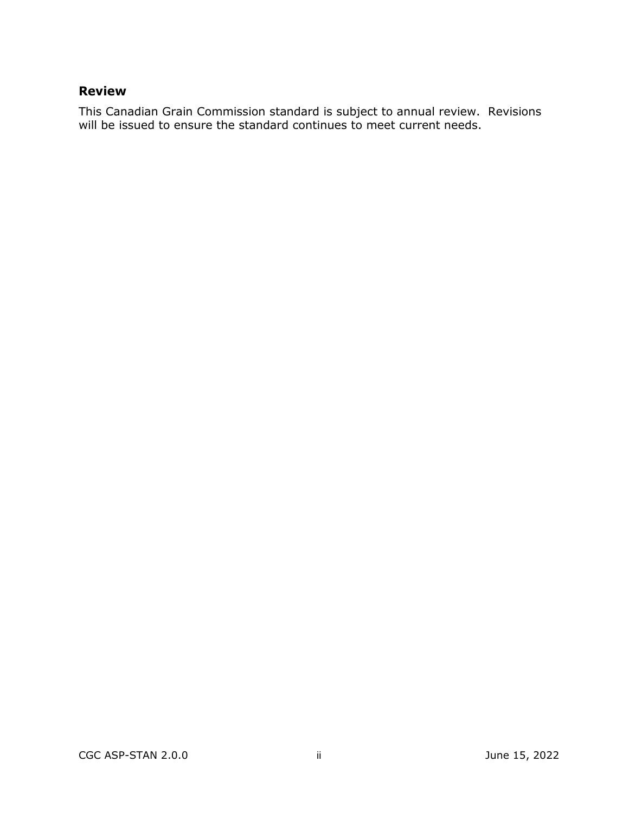## <span id="page-2-0"></span>**Review**

This Canadian Grain Commission standard is subject to annual review. Revisions will be issued to ensure the standard continues to meet current needs.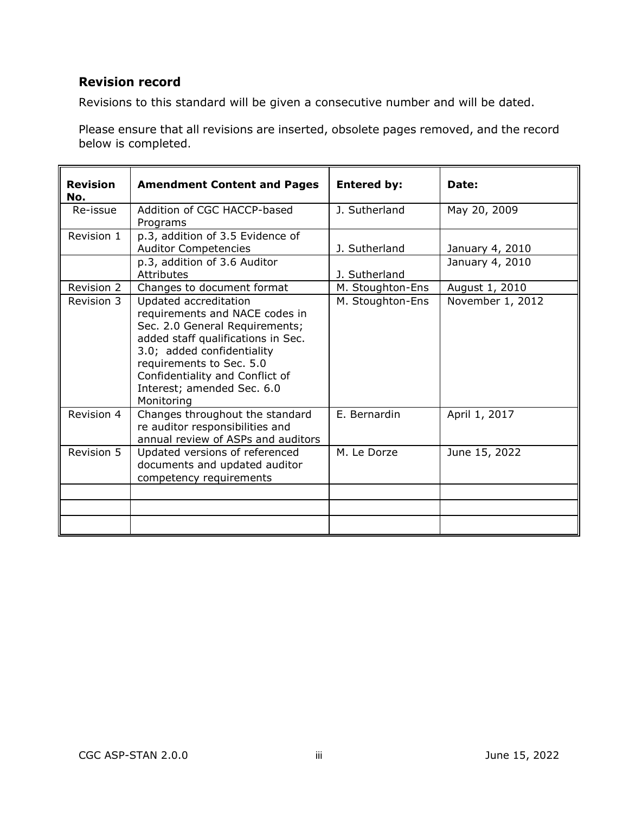## <span id="page-3-0"></span>**Revision record**

Revisions to this standard will be given a consecutive number and will be dated.

Please ensure that all revisions are inserted, obsolete pages removed, and the record below is completed.

| <b>Revision</b><br>No. | <b>Amendment Content and Pages</b>                                                                                                                                                                                                                                       | <b>Entered by:</b> | Date:            |
|------------------------|--------------------------------------------------------------------------------------------------------------------------------------------------------------------------------------------------------------------------------------------------------------------------|--------------------|------------------|
| Re-issue               | Addition of CGC HACCP-based<br>Programs                                                                                                                                                                                                                                  | J. Sutherland      | May 20, 2009     |
| Revision 1             | p.3, addition of 3.5 Evidence of<br><b>Auditor Competencies</b>                                                                                                                                                                                                          | J. Sutherland      | January 4, 2010  |
|                        | p.3, addition of 3.6 Auditor<br><b>Attributes</b>                                                                                                                                                                                                                        | J. Sutherland      | January 4, 2010  |
| Revision 2             | Changes to document format                                                                                                                                                                                                                                               | M. Stoughton-Ens   | August 1, 2010   |
| Revision 3             | Updated accreditation<br>requirements and NACE codes in<br>Sec. 2.0 General Requirements;<br>added staff qualifications in Sec.<br>3.0; added confidentiality<br>requirements to Sec. 5.0<br>Confidentiality and Conflict of<br>Interest; amended Sec. 6.0<br>Monitoring | M. Stoughton-Ens   | November 1, 2012 |
| Revision 4             | Changes throughout the standard<br>re auditor responsibilities and<br>annual review of ASPs and auditors                                                                                                                                                                 | E. Bernardin       | April 1, 2017    |
| Revision 5             | Updated versions of referenced<br>documents and updated auditor<br>competency requirements                                                                                                                                                                               | M. Le Dorze        | June 15, 2022    |
|                        |                                                                                                                                                                                                                                                                          |                    |                  |
|                        |                                                                                                                                                                                                                                                                          |                    |                  |
|                        |                                                                                                                                                                                                                                                                          |                    |                  |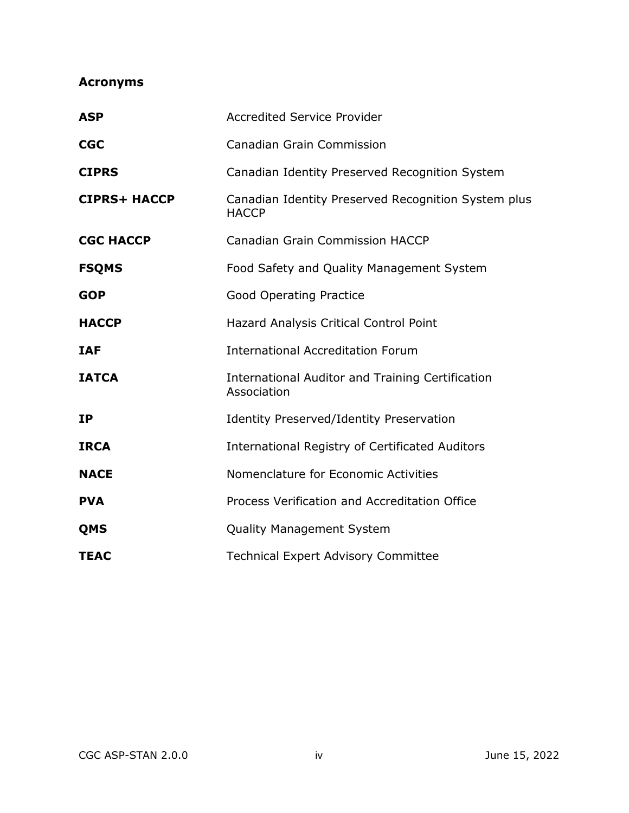# <span id="page-4-0"></span>**Acronyms**

| <b>ASP</b>          | <b>Accredited Service Provider</b>                                     |
|---------------------|------------------------------------------------------------------------|
| <b>CGC</b>          | <b>Canadian Grain Commission</b>                                       |
| <b>CIPRS</b>        | Canadian Identity Preserved Recognition System                         |
| <b>CIPRS+ HACCP</b> | Canadian Identity Preserved Recognition System plus<br><b>HACCP</b>    |
| <b>CGC HACCP</b>    | <b>Canadian Grain Commission HACCP</b>                                 |
| <b>FSQMS</b>        | Food Safety and Quality Management System                              |
| <b>GOP</b>          | <b>Good Operating Practice</b>                                         |
| <b>HACCP</b>        | Hazard Analysis Critical Control Point                                 |
| <b>IAF</b>          | <b>International Accreditation Forum</b>                               |
| <b>IATCA</b>        | <b>International Auditor and Training Certification</b><br>Association |
| <b>IP</b>           | <b>Identity Preserved/Identity Preservation</b>                        |
| <b>IRCA</b>         | <b>International Registry of Certificated Auditors</b>                 |
| <b>NACE</b>         | Nomenclature for Economic Activities                                   |
| <b>PVA</b>          | Process Verification and Accreditation Office                          |
| <b>QMS</b>          | <b>Quality Management System</b>                                       |
| <b>TEAC</b>         | <b>Technical Expert Advisory Committee</b>                             |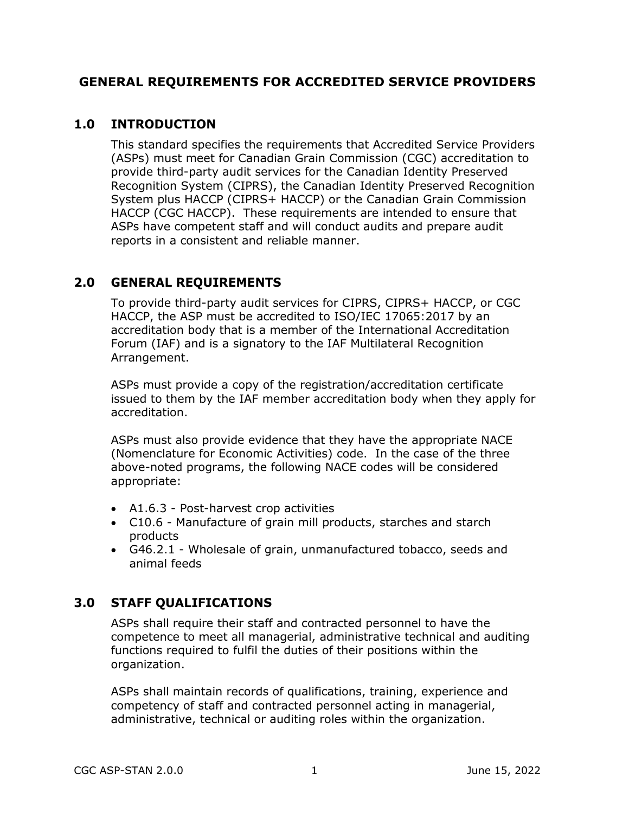### **GENERAL REQUIREMENTS FOR ACCREDITED SERVICE PROVIDERS**

#### <span id="page-5-0"></span>**1.0 INTRODUCTION**

This standard specifies the requirements that Accredited Service Providers (ASPs) must meet for Canadian Grain Commission (CGC) accreditation to provide third-party audit services for the Canadian Identity Preserved Recognition System (CIPRS), the Canadian Identity Preserved Recognition System plus HACCP (CIPRS+ HACCP) or the Canadian Grain Commission HACCP (CGC HACCP). These requirements are intended to ensure that ASPs have competent staff and will conduct audits and prepare audit reports in a consistent and reliable manner.

## <span id="page-5-1"></span>**2.0 GENERAL REQUIREMENTS**

To provide third-party audit services for CIPRS, CIPRS+ HACCP, or CGC HACCP, the ASP must be accredited to ISO/IEC 17065:2017 by an accreditation body that is a member of the International Accreditation Forum (IAF) and is a signatory to the IAF Multilateral Recognition Arrangement.

ASPs must provide a copy of the registration/accreditation certificate issued to them by the IAF member accreditation body when they apply for accreditation.

ASPs must also provide evidence that they have the appropriate NACE (Nomenclature for Economic Activities) code. In the case of the three above-noted programs, the following NACE codes will be considered appropriate:

- A1.6.3 Post-harvest crop activities
- C10.6 Manufacture of grain mill products, starches and starch products
- G46.2.1 Wholesale of grain, unmanufactured tobacco, seeds and animal feeds

## <span id="page-5-2"></span>**3.0 STAFF QUALIFICATIONS**

ASPs shall require their staff and contracted personnel to have the competence to meet all managerial, administrative technical and auditing functions required to fulfil the duties of their positions within the organization.

ASPs shall maintain records of qualifications, training, experience and competency of staff and contracted personnel acting in managerial, administrative, technical or auditing roles within the organization.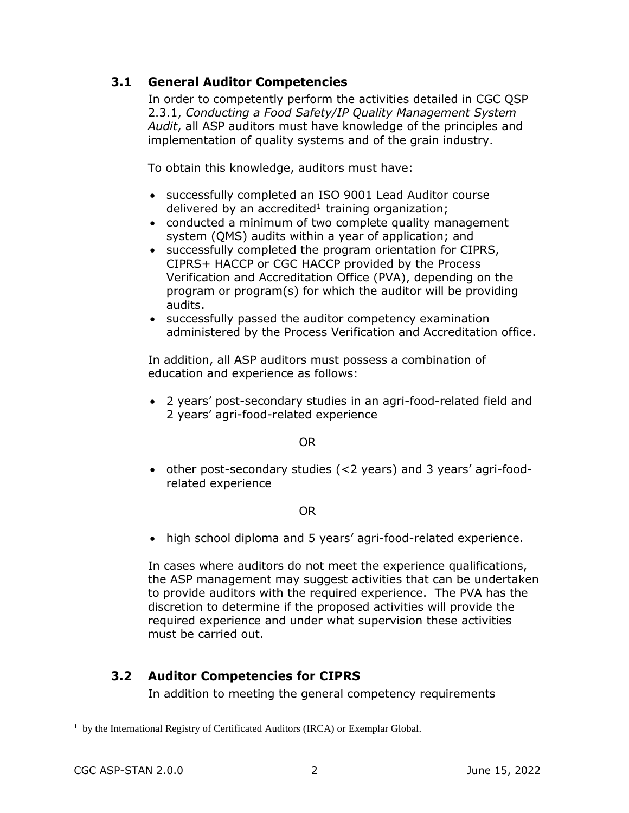## <span id="page-6-0"></span>**3.1 General Auditor Competencies**

In order to competently perform the activities detailed in CGC QSP 2.3.1, *Conducting a Food Safety/IP Quality Management System Audit*, all ASP auditors must have knowledge of the principles and implementation of quality systems and of the grain industry.

To obtain this knowledge, auditors must have:

- successfully completed an ISO 9001 Lead Auditor course delivered by an accredited<sup>1</sup> training organization;
- conducted a minimum of two complete quality management system (QMS) audits within a year of application; and
- successfully completed the program orientation for CIPRS, CIPRS+ HACCP or CGC HACCP provided by the Process Verification and Accreditation Office (PVA), depending on the program or program(s) for which the auditor will be providing audits.
- successfully passed the auditor competency examination administered by the Process Verification and Accreditation office.

In addition, all ASP auditors must possess a combination of education and experience as follows:

 2 years' post-secondary studies in an agri-food-related field and 2 years' agri-food-related experience

OR

 other post-secondary studies (<2 years) and 3 years' agri-foodrelated experience

OR

high school diploma and 5 years' agri-food-related experience.

In cases where auditors do not meet the experience qualifications, the ASP management may suggest activities that can be undertaken to provide auditors with the required experience. The PVA has the discretion to determine if the proposed activities will provide the required experience and under what supervision these activities must be carried out.

## <span id="page-6-1"></span>**3.2 Auditor Competencies for CIPRS**

In addition to meeting the general competency requirements

 $\overline{a}$ 

<sup>&</sup>lt;sup>1</sup> by the International Registry of Certificated Auditors (IRCA) or Exemplar Global.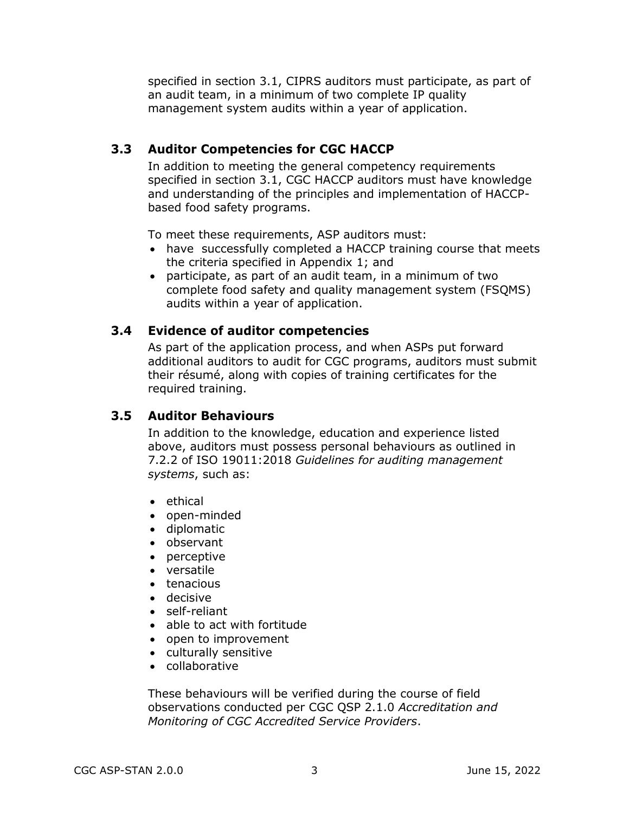<span id="page-7-0"></span>specified in section 3.1, CIPRS auditors must participate, as part of an audit team, in a minimum of two complete IP quality management system audits within a year of application.

## **3.3 Auditor Competencies for CGC HACCP**

In addition to meeting the general competency requirements specified in section 3.1, CGC HACCP auditors must have knowledge and understanding of the principles and implementation of HACCPbased food safety programs.

To meet these requirements, ASP auditors must:

- have successfully completed a HACCP training course that meets the criteria specified in Appendix 1; and
- participate, as part of an audit team, in a minimum of two complete food safety and quality management system (FSQMS) audits within a year of application.

#### <span id="page-7-1"></span>**3.4 Evidence of auditor competencies**

As part of the application process, and when ASPs put forward additional auditors to audit for CGC programs, auditors must submit their résumé, along with copies of training certificates for the required training.

#### <span id="page-7-2"></span>**3.5 Auditor Behaviours**

In addition to the knowledge, education and experience listed above, auditors must possess personal behaviours as outlined in 7.2.2 of ISO 19011:2018 *Guidelines for auditing management systems*, such as:

- ethical
- open-minded
- diplomatic
- observant
- perceptive
- versatile
- tenacious
- decisive
- self-reliant
- able to act with fortitude
- open to improvement
- culturally sensitive
- collaborative

These behaviours will be verified during the course of field observations conducted per CGC QSP 2.1.0 *Accreditation and Monitoring of CGC Accredited Service Providers*.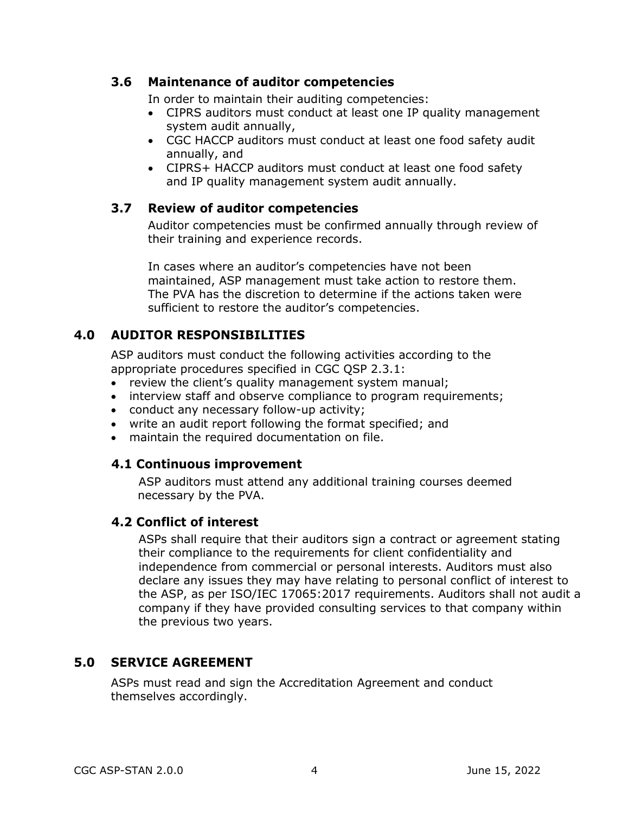#### <span id="page-8-0"></span>**3.6 Maintenance of auditor competencies**

In order to maintain their auditing competencies:

- CIPRS auditors must conduct at least one IP quality management system audit annually,
- CGC HACCP auditors must conduct at least one food safety audit annually, and
- CIPRS+ HACCP auditors must conduct at least one food safety and IP quality management system audit annually.

### <span id="page-8-1"></span>**3.7 Review of auditor competencies**

Auditor competencies must be confirmed annually through review of their training and experience records.

In cases where an auditor's competencies have not been maintained, ASP management must take action to restore them. The PVA has the discretion to determine if the actions taken were sufficient to restore the auditor's competencies.

## <span id="page-8-2"></span>**4.0 AUDITOR RESPONSIBILITIES**

ASP auditors must conduct the following activities according to the appropriate procedures specified in CGC QSP 2.3.1:

- review the client's quality management system manual;
- interview staff and observe compliance to program requirements;
- conduct any necessary follow-up activity;
- write an audit report following the format specified; and
- <span id="page-8-3"></span>maintain the required documentation on file.

## **4.1 Continuous improvement**

ASP auditors must attend any additional training courses deemed necessary by the PVA.

#### <span id="page-8-4"></span>**4.2 Conflict of interest**

ASPs shall require that their auditors sign a contract or agreement stating their compliance to the requirements for client confidentiality and independence from commercial or personal interests. Auditors must also declare any issues they may have relating to personal conflict of interest to the ASP, as per ISO/IEC 17065:2017 requirements. Auditors shall not audit a company if they have provided consulting services to that company within the previous two years.

## <span id="page-8-5"></span>**5.0 SERVICE AGREEMENT**

ASPs must read and sign the Accreditation Agreement and conduct themselves accordingly.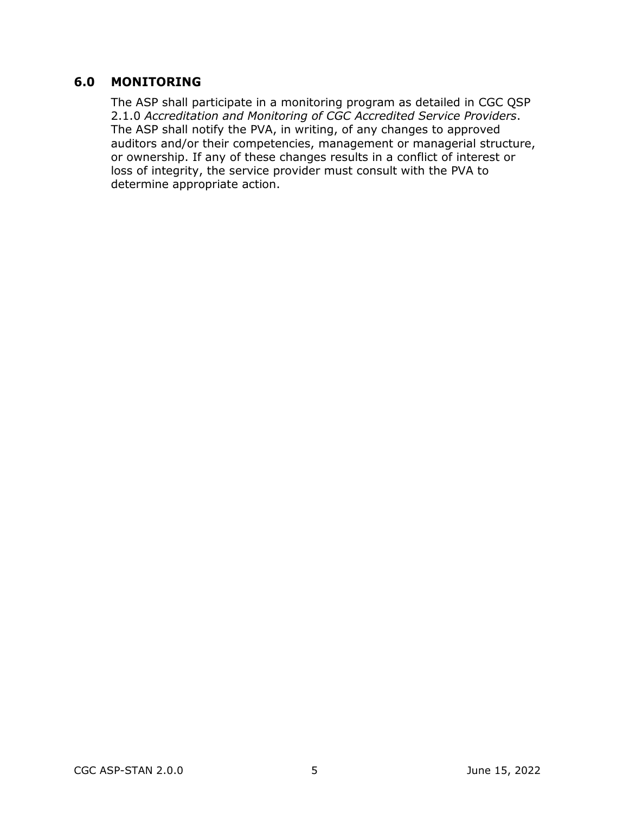#### <span id="page-9-0"></span>**6.0 MONITORING**

The ASP shall participate in a monitoring program as detailed in CGC QSP 2.1.0 *Accreditation and Monitoring of CGC Accredited Service Providers*. The ASP shall notify the PVA, in writing, of any changes to approved auditors and/or their competencies, management or managerial structure, or ownership. If any of these changes results in a conflict of interest or loss of integrity, the service provider must consult with the PVA to determine appropriate action.